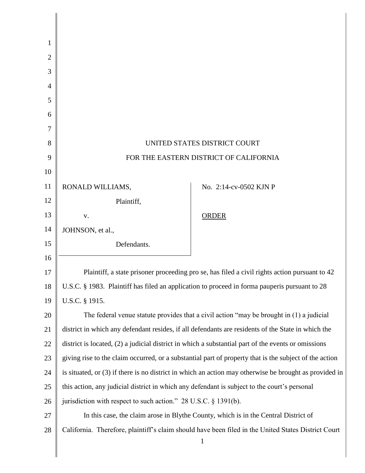